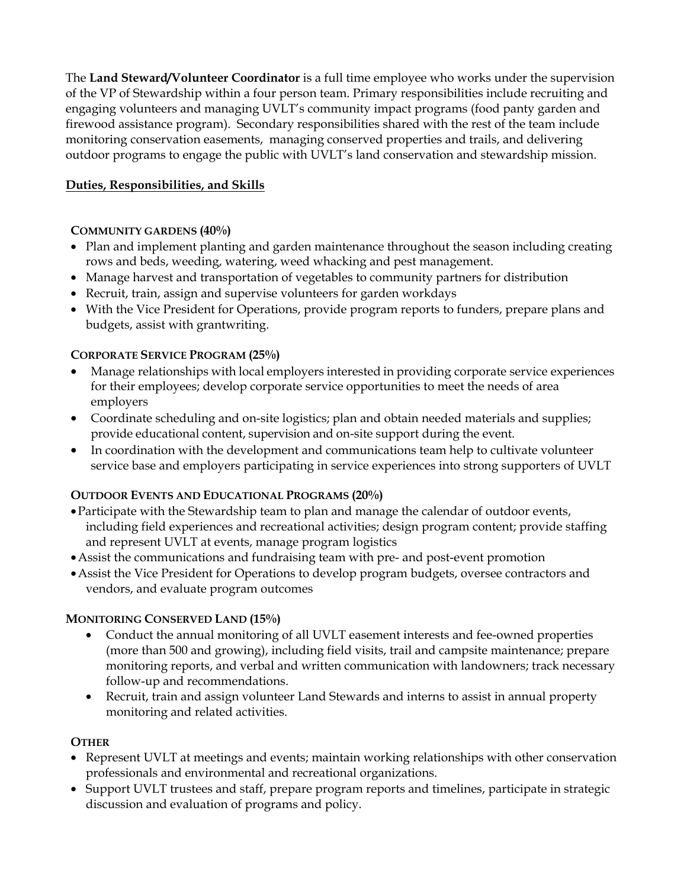The **Land Steward/Volunteer Coordinator** is a full time employee who works under the supervision of the VP of Stewardship within a four person team. Primary responsibilities include recruiting and engaging volunteers and managing UVLT's community impact programs (food panty garden and firewood assistance program). Secondary responsibilities shared with the rest of the team include monitoring conservation easements, managing conserved properties and trails, and delivering outdoor programs to engage the public with UVLT's land conservation and stewardship mission.

# **Duties, Responsibilities, and Skills**

## **COMMUNITY GARDENS (40%)**

- Plan and implement planting and garden maintenance throughout the season including creating rows and beds, weeding, watering, weed whacking and pest management.
- Manage harvest and transportation of vegetables to community partners for distribution
- Recruit, train, assign and supervise volunteers for garden workdays
- With the Vice President for Operations, provide program reports to funders, prepare plans and budgets, assist with grantwriting.

## **CORPORATE SERVICE PROGRAM (25%)**

- Manage relationships with local employers interested in providing corporate service experiences for their employees; develop corporate service opportunities to meet the needs of area employers
- Coordinate scheduling and on-site logistics; plan and obtain needed materials and supplies; provide educational content, supervision and on-site support during the event.
- In coordination with the development and communications team help to cultivate volunteer service base and employers participating in service experiences into strong supporters of UVLT

## **OUTDOOR EVENTS AND EDUCATIONAL PROGRAMS (20%)**

- •Participate with the Stewardship team to plan and manage the calendar of outdoor events, including field experiences and recreational activities; design program content; provide staffing and represent UVLT at events, manage program logistics
- •Assist the communications and fundraising team with pre- and post-event promotion
- •Assist the Vice President for Operations to develop program budgets, oversee contractors and vendors, and evaluate program outcomes

#### **MONITORING CONSERVED LAND (15%)**

- Conduct the annual monitoring of all UVLT easement interests and fee-owned properties (more than 500 and growing), including field visits, trail and campsite maintenance; prepare monitoring reports, and verbal and written communication with landowners; track necessary follow-up and recommendations.
- Recruit, train and assign volunteer Land Stewards and interns to assist in annual property monitoring and related activities.

#### **OTHER**

- Represent UVLT at meetings and events; maintain working relationships with other conservation professionals and environmental and recreational organizations.
- Support UVLT trustees and staff, prepare program reports and timelines, participate in strategic discussion and evaluation of programs and policy.